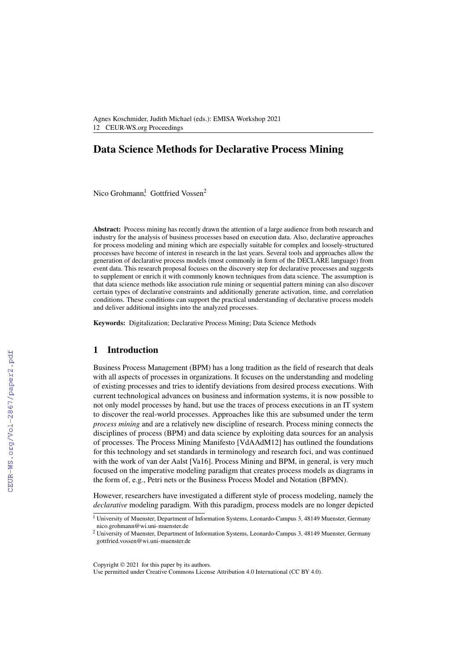Agnes Koschmider, Judith Michael (eds.): EMISA Workshop 2021 12 CEUR-WS.org Proceedings

# **Data Science Methods for Declarative Process Mining**

Nico Grohmann,<sup>1</sup> Gottfried Vossen<sup>2</sup>

**Abstract:** Process mining has recently drawn the attention of a large audience from both research and industry for the analysis of business processes based on execution data. Also, declarative approaches for process modeling and mining which are especially suitable for complex and loosely-structured processes have become of interest in research in the last years. Several tools and approaches allow the generation of declarative process models (most commonly in form of the DECLARE language) from event data. This research proposal focuses on the discovery step for declarative processes and suggests to supplement or enrich it with commonly known techniques from data science. The assumption is that data science methods like association rule mining or sequential pattern mining can also discover certain types of declarative constraints and additionally generate activation, time, and correlation conditions. These conditions can support the practical understanding of declarative process models and deliver additional insights into the analyzed processes.

**Keywords:** Digitalization; Declarative Process Mining; Data Science Methods

### **1 Introduction**

Business Process Management (BPM) has a long tradition as the field of research that deals with all aspects of processes in organizations. It focuses on the understanding and modeling of existing processes and tries to identify deviations from desired process executions. With current technological advances on business and information systems, it is now possible to not only model processes by hand, but use the traces of process executions in an IT system to discover the real-world processes. Approaches like this are subsumed under the term *process mining* and are a relatively new discipline of research. Process mining connects the disciplines of process (BPM) and data science by exploiting data sources for an analysis of processes. The Process Mining Manifesto [\[VdAAdM12\]](#page--1-0) has outlined the foundations for this technology and set standards in terminology and research foci, and was continued with the work of van der Aalst [\[Va16\]](#page--1-1). Process Mining and BPM, in general, is very much focused on the imperative modeling paradigm that creates process models as diagrams in the form of, e.g., Petri nets or the Business Process Model and Notation (BPMN).

However, researchers have investigated a different style of process modeling, namely the *declarative* modeling paradigm. With this paradigm, process models are no longer depicted

<sup>&</sup>lt;sup>1</sup> University of Muenster, Department of Information Systems, Leonardo-Campus 3, 48149 Muenster, Germany <nico.grohmann@wi.uni-muenster.de>

<sup>2</sup> University of Muenster, Department of Information Systems, Leonardo-Campus 3, 48149 Muenster, Germany <gottfried.vossen@wi.uni-muenster.de>

Copyright © 2021 for this paper by its authors.

Use permitted under Creative Commons License Attribution 4.0 International (CC BY 4.0).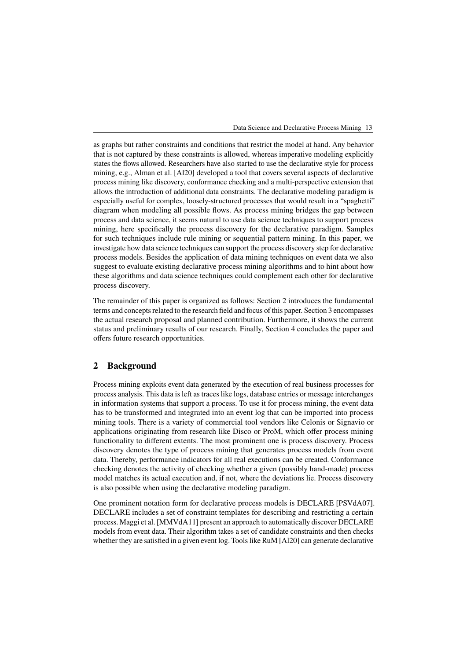as graphs but rather constraints and conditions that restrict the model at hand. Any behavior that is not captured by these constraints is allowed, whereas imperative modeling explicitly states the flows allowed. Researchers have also started to use the declarative style for process mining, e.g., Alman et al. [\[Al20\]](#page-5-0) developed a tool that covers several aspects of declarative process mining like discovery, conformance checking and a multi-perspective extension that allows the introduction of additional data constraints. The declarative modeling paradigm is especially useful for complex, loosely-structured processes that would result in a "spaghetti" diagram when modeling all possible flows. As process mining bridges the gap between process and data science, it seems natural to use data science techniques to support process mining, here specifically the process discovery for the declarative paradigm. Samples for such techniques include rule mining or sequential pattern mining. In this paper, we investigate how data science techniques can support the process discovery step for declarative process models. Besides the application of data mining techniques on event data we also suggest to evaluate existing declarative process mining algorithms and to hint about how these algorithms and data science techniques could complement each other for declarative process discovery.

The remainder of this paper is organized as follows: Section [2](#page-1-0) introduces the fundamental terms and concepts related to the research field and focus of this paper. Section [3](#page-2-0) encompasses the actual research proposal and planned contribution. Furthermore, it shows the current status and preliminary results of our research. Finally, Section [4](#page-4-0) concludes the paper and offers future research opportunities.

### <span id="page-1-0"></span>**2 Background**

Process mining exploits event data generated by the execution of real business processes for process analysis. This data is left as traces like logs, database entries or message interchanges in information systems that support a process. To use it for process mining, the event data has to be transformed and integrated into an event log that can be imported into process mining tools. There is a variety of commercial tool vendors like Celonis or Signavio or applications originating from research like Disco or ProM, which offer process mining functionality to different extents. The most prominent one is process discovery. Process discovery denotes the type of process mining that generates process models from event data. Thereby, performance indicators for all real executions can be created. Conformance checking denotes the activity of checking whether a given (possibly hand-made) process model matches its actual execution and, if not, where the deviations lie. Process discovery is also possible when using the declarative modeling paradigm.

One prominent notation form for declarative process models is DECLARE [\[PSVdA07\]](#page-5-1). DECLARE includes a set of constraint templates for describing and restricting a certain process. Maggi et al. [\[MMVdA11\]](#page-5-2) present an approach to automatically discover DECLARE models from event data. Their algorithm takes a set of candidate constraints and then checks whether they are satisfied in a given event log. Tools like RuM [\[Al20\]](#page-5-0) can generate declarative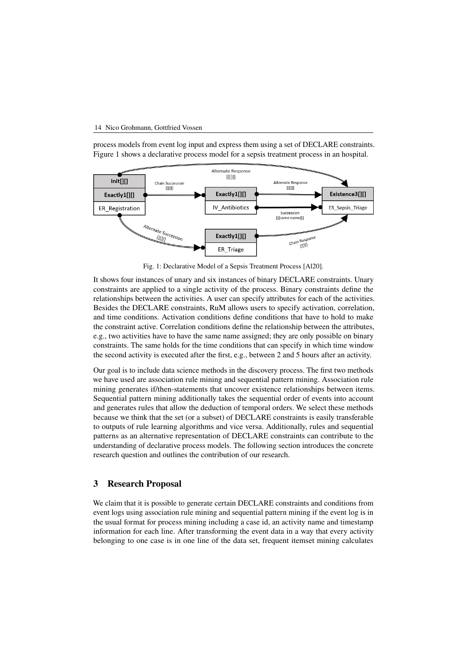#### 14 Nico Grohmann, Gottfried Vossen

process models from event log input and express them using a set of DECLARE constraints. Figure [1](#page-2-1) shows a declarative process model for a sepsis treatment process in an hospital.

<span id="page-2-1"></span>

Fig. 1: Declarative Model of a Sepsis Treatment Process [\[Al20\]](#page-5-0).

It shows four instances of unary and six instances of binary DECLARE constraints. Unary constraints are applied to a single activity of the process. Binary constraints define the relationships between the activities. A user can specify attributes for each of the activities. Besides the DECLARE constraints, RuM allows users to specify activation, correlation, and time conditions. Activation conditions define conditions that have to hold to make the constraint active. Correlation conditions define the relationship between the attributes, e.g., two activities have to have the same name assigned; they are only possible on binary constraints. The same holds for the time conditions that can specify in which time window the second activity is executed after the first, e.g., between 2 and 5 hours after an activity.

Our goal is to include data science methods in the discovery process. The first two methods we have used are association rule mining and sequential pattern mining. Association rule mining generates if/then-statements that uncover existence relationships between items. Sequential pattern mining additionally takes the sequential order of events into account and generates rules that allow the deduction of temporal orders. We select these methods because we think that the set (or a subset) of DECLARE constraints is easily transferable to outputs of rule learning algorithms and vice versa. Additionally, rules and sequential patterns as an alternative representation of DECLARE constraints can contribute to the understanding of declarative process models. The following section introduces the concrete research question and outlines the contribution of our research.

### <span id="page-2-0"></span>**3 Research Proposal**

We claim that it is possible to generate certain DECLARE constraints and conditions from event logs using association rule mining and sequential pattern mining if the event log is in the usual format for process mining including a case id, an activity name and timestamp information for each line. After transforming the event data in a way that every activity belonging to one case is in one line of the data set, frequent itemset mining calculates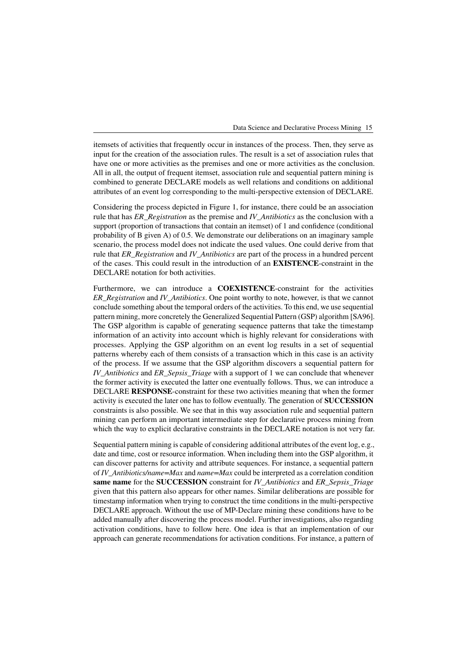itemsets of activities that frequently occur in instances of the process. Then, they serve as input for the creation of the association rules. The result is a set of association rules that have one or more activities as the premises and one or more activities as the conclusion. All in all, the output of frequent itemset, association rule and sequential pattern mining is combined to generate DECLARE models as well relations and conditions on additional attributes of an event log corresponding to the multi-perspective extension of DECLARE.

Considering the process depicted in Figure [1,](#page-2-1) for instance, there could be an association rule that has *ER\_Registration* as the premise and *IV\_Antibiotics* as the conclusion with a support (proportion of transactions that contain an itemset) of 1 and confidence (conditional probability of B given A) of 0.5. We demonstrate our deliberations on an imaginary sample scenario, the process model does not indicate the used values. One could derive from that rule that *ER\_Registration* and *IV\_Antibiotics* are part of the process in a hundred percent of the cases. This could result in the introduction of an **EXISTENCE**-constraint in the DECLARE notation for both activities.

Furthermore, we can introduce a **COEXISTENCE**-constraint for the activities *ER\_Registration* and *IV\_Antibiotics*. One point worthy to note, however, is that we cannot conclude something about the temporal orders of the activities. To this end, we use sequential pattern mining, more concretely the Generalized Sequential Pattern (GSP) algorithm [\[SA96\]](#page-5-3). The GSP algorithm is capable of generating sequence patterns that take the timestamp information of an activity into account which is highly relevant for considerations with processes. Applying the GSP algorithm on an event log results in a set of sequential patterns whereby each of them consists of a transaction which in this case is an activity of the process. If we assume that the GSP algorithm discovers a sequential pattern for *IV\_Antibiotics* and *ER\_Sepsis\_Triage* with a support of 1 we can conclude that whenever the former activity is executed the latter one eventually follows. Thus, we can introduce a DECLARE **RESPONSE**-constraint for these two activities meaning that when the former activity is executed the later one has to follow eventually. The generation of **SUCCESSION** constraints is also possible. We see that in this way association rule and sequential pattern mining can perform an important intermediate step for declarative process mining from which the way to explicit declarative constraints in the DECLARE notation is not very far.

Sequential pattern mining is capable of considering additional attributes of the event log, e.g., date and time, cost or resource information. When including them into the GSP algorithm, it can discover patterns for activity and attribute sequences. For instance, a sequential pattern of *IV\_Antibiotics/name=Max* and *name=Max* could be interpreted as a correlation condition **same name** for the **SUCCESSION** constraint for *IV\_Antibiotics* and *ER\_Sepsis\_Triage* given that this pattern also appears for other names. Similar deliberations are possible for timestamp information when trying to construct the time conditions in the multi-perspective DECLARE approach. Without the use of MP-Declare mining these conditions have to be added manually after discovering the process model. Further investigations, also regarding activation conditions, have to follow here. One idea is that an implementation of our approach can generate recommendations for activation conditions. For instance, a pattern of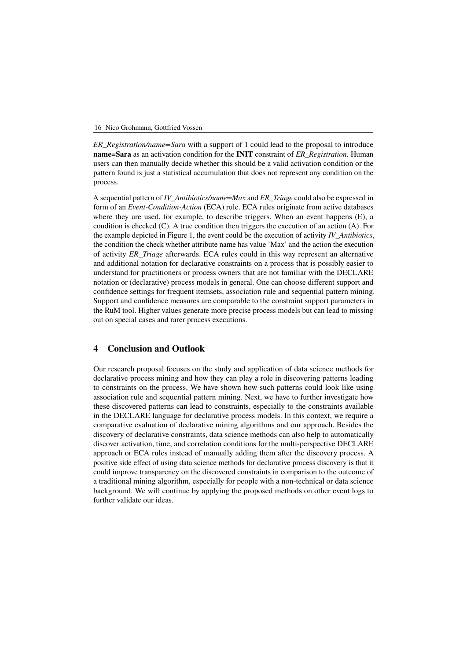*ER\_Registration/name=Sara* with a support of 1 could lead to the proposal to introduce **name=Sara** as an activation condition for the **INIT** constraint of *ER\_Registration*. Human users can then manually decide whether this should be a valid activation condition or the pattern found is just a statistical accumulation that does not represent any condition on the process.

A sequential pattern of *IV\_Antibiotics/name=Max* and *ER\_Triage* could also be expressed in form of an *Event-Condition-Action* (ECA) rule. ECA rules originate from active databases where they are used, for example, to describe triggers. When an event happens (E), a condition is checked (C). A true condition then triggers the execution of an action (A). For the example depicted in Figure [1,](#page-2-1) the event could be the execution of activity *IV* Antibiotics, the condition the check whether attribute name has value 'Max' and the action the execution of activity *ER\_Triage* afterwards. ECA rules could in this way represent an alternative and additional notation for declarative constraints on a process that is possibly easier to understand for practitioners or process owners that are not familiar with the DECLARE notation or (declarative) process models in general. One can choose different support and confidence settings for frequent itemsets, association rule and sequential pattern mining. Support and confidence measures are comparable to the constraint support parameters in the RuM tool. Higher values generate more precise process models but can lead to missing out on special cases and rarer process executions.

## <span id="page-4-0"></span>**4 Conclusion and Outlook**

Our research proposal focuses on the study and application of data science methods for declarative process mining and how they can play a role in discovering patterns leading to constraints on the process. We have shown how such patterns could look like using association rule and sequential pattern mining. Next, we have to further investigate how these discovered patterns can lead to constraints, especially to the constraints available in the DECLARE language for declarative process models. In this context, we require a comparative evaluation of declarative mining algorithms and our approach. Besides the discovery of declarative constraints, data science methods can also help to automatically discover activation, time, and correlation conditions for the multi-perspective DECLARE approach or ECA rules instead of manually adding them after the discovery process. A positive side effect of using data science methods for declarative process discovery is that it could improve transparency on the discovered constraints in comparison to the outcome of a traditional mining algorithm, especially for people with a non-technical or data science background. We will continue by applying the proposed methods on other event logs to further validate our ideas.